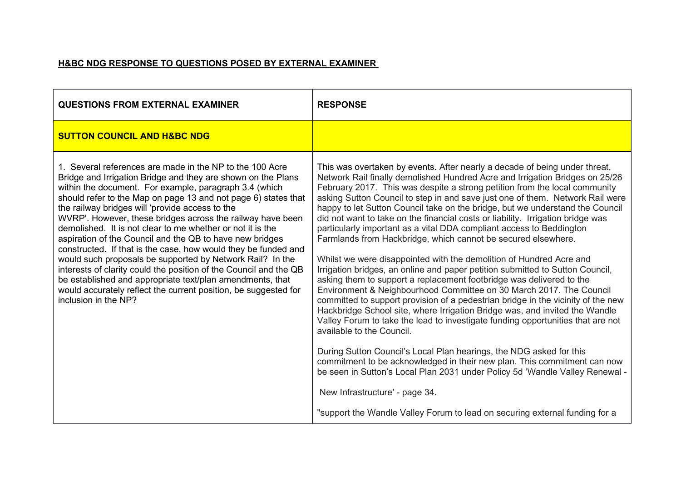## **H&BC NDG RESPONSE TO QUESTIONS POSED BY EXTERNAL EXAMINER**

| <b>QUESTIONS FROM EXTERNAL EXAMINER</b>                                                                                                                                                                                                                                                                                                                                                                                                                                                                                                                                                                                                                                                                                                                                                                                                                     | <b>RESPONSE</b>                                                                                                                                                                                                                                                                                                                                                                                                                                                                                                                                                                                                                                                                                                                                                                                                                                                                                                                                                                                                                                                                                                                                                                                                                                                                                                                                                                                                                                                                                                                                                                      |
|-------------------------------------------------------------------------------------------------------------------------------------------------------------------------------------------------------------------------------------------------------------------------------------------------------------------------------------------------------------------------------------------------------------------------------------------------------------------------------------------------------------------------------------------------------------------------------------------------------------------------------------------------------------------------------------------------------------------------------------------------------------------------------------------------------------------------------------------------------------|--------------------------------------------------------------------------------------------------------------------------------------------------------------------------------------------------------------------------------------------------------------------------------------------------------------------------------------------------------------------------------------------------------------------------------------------------------------------------------------------------------------------------------------------------------------------------------------------------------------------------------------------------------------------------------------------------------------------------------------------------------------------------------------------------------------------------------------------------------------------------------------------------------------------------------------------------------------------------------------------------------------------------------------------------------------------------------------------------------------------------------------------------------------------------------------------------------------------------------------------------------------------------------------------------------------------------------------------------------------------------------------------------------------------------------------------------------------------------------------------------------------------------------------------------------------------------------------|
| <b>SUTTON COUNCIL AND H&amp;BC NDG</b>                                                                                                                                                                                                                                                                                                                                                                                                                                                                                                                                                                                                                                                                                                                                                                                                                      |                                                                                                                                                                                                                                                                                                                                                                                                                                                                                                                                                                                                                                                                                                                                                                                                                                                                                                                                                                                                                                                                                                                                                                                                                                                                                                                                                                                                                                                                                                                                                                                      |
| 1. Several references are made in the NP to the 100 Acre<br>Bridge and Irrigation Bridge and they are shown on the Plans<br>within the document. For example, paragraph 3.4 (which<br>should refer to the Map on page 13 and not page 6) states that<br>the railway bridges will 'provide access to the<br>WVRP'. However, these bridges across the railway have been<br>demolished. It is not clear to me whether or not it is the<br>aspiration of the Council and the QB to have new bridges<br>constructed. If that is the case, how would they be funded and<br>would such proposals be supported by Network Rail? In the<br>interests of clarity could the position of the Council and the QB<br>be established and appropriate text/plan amendments, that<br>would accurately reflect the current position, be suggested for<br>inclusion in the NP? | This was overtaken by events. After nearly a decade of being under threat,<br>Network Rail finally demolished Hundred Acre and Irrigation Bridges on 25/26<br>February 2017. This was despite a strong petition from the local community<br>asking Sutton Council to step in and save just one of them. Network Rail were<br>happy to let Sutton Council take on the bridge, but we understand the Council<br>did not want to take on the financial costs or liability. Irrigation bridge was<br>particularly important as a vital DDA compliant access to Beddington<br>Farmlands from Hackbridge, which cannot be secured elsewhere.<br>Whilst we were disappointed with the demolition of Hundred Acre and<br>Irrigation bridges, an online and paper petition submitted to Sutton Council,<br>asking them to support a replacement footbridge was delivered to the<br>Environment & Neighbourhood Committee on 30 March 2017. The Council<br>committed to support provision of a pedestrian bridge in the vicinity of the new<br>Hackbridge School site, where Irrigation Bridge was, and invited the Wandle<br>Valley Forum to take the lead to investigate funding opportunities that are not<br>available to the Council.<br>During Sutton Council's Local Plan hearings, the NDG asked for this<br>commitment to be acknowledged in their new plan. This commitment can now<br>be seen in Sutton's Local Plan 2031 under Policy 5d 'Wandle Valley Renewal -<br>New Infrastructure' - page 34.<br>"support the Wandle Valley Forum to lead on securing external funding for a |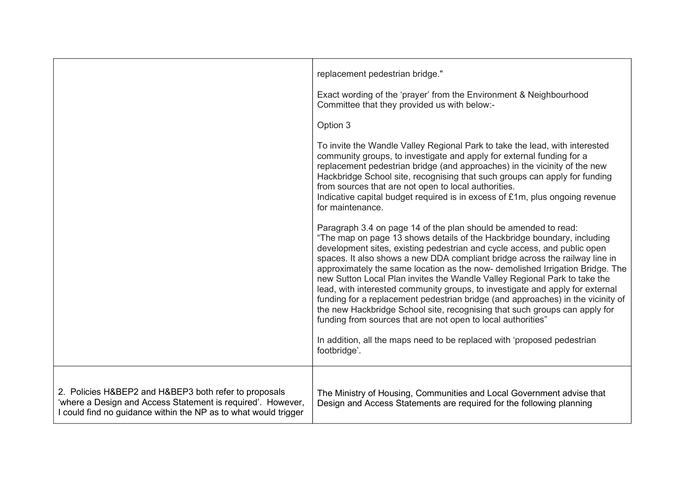|                                                                                                                                                                                         | replacement pedestrian bridge."                                                                                                                                                                                                                                                                                                                                                                                                                                                                                                                                                                                                                                                                                                                                                       |
|-----------------------------------------------------------------------------------------------------------------------------------------------------------------------------------------|---------------------------------------------------------------------------------------------------------------------------------------------------------------------------------------------------------------------------------------------------------------------------------------------------------------------------------------------------------------------------------------------------------------------------------------------------------------------------------------------------------------------------------------------------------------------------------------------------------------------------------------------------------------------------------------------------------------------------------------------------------------------------------------|
|                                                                                                                                                                                         | Exact wording of the 'prayer' from the Environment & Neighbourhood<br>Committee that they provided us with below:-                                                                                                                                                                                                                                                                                                                                                                                                                                                                                                                                                                                                                                                                    |
|                                                                                                                                                                                         | Option 3                                                                                                                                                                                                                                                                                                                                                                                                                                                                                                                                                                                                                                                                                                                                                                              |
|                                                                                                                                                                                         | To invite the Wandle Valley Regional Park to take the lead, with interested<br>community groups, to investigate and apply for external funding for a<br>replacement pedestrian bridge (and approaches) in the vicinity of the new<br>Hackbridge School site, recognising that such groups can apply for funding<br>from sources that are not open to local authorities.<br>Indicative capital budget required is in excess of £1m, plus ongoing revenue<br>for maintenance.                                                                                                                                                                                                                                                                                                           |
|                                                                                                                                                                                         | Paragraph 3.4 on page 14 of the plan should be amended to read:<br>"The map on page 13 shows details of the Hackbridge boundary, including<br>development sites, existing pedestrian and cycle access, and public open<br>spaces. It also shows a new DDA compliant bridge across the railway line in<br>approximately the same location as the now- demolished Irrigation Bridge. The<br>new Sutton Local Plan invites the Wandle Valley Regional Park to take the<br>lead, with interested community groups, to investigate and apply for external<br>funding for a replacement pedestrian bridge (and approaches) in the vicinity of<br>the new Hackbridge School site, recognising that such groups can apply for<br>funding from sources that are not open to local authorities" |
|                                                                                                                                                                                         | In addition, all the maps need to be replaced with 'proposed pedestrian<br>footbridge'.                                                                                                                                                                                                                                                                                                                                                                                                                                                                                                                                                                                                                                                                                               |
|                                                                                                                                                                                         |                                                                                                                                                                                                                                                                                                                                                                                                                                                                                                                                                                                                                                                                                                                                                                                       |
| 2. Policies H&BEP2 and H&BEP3 both refer to proposals<br>'where a Design and Access Statement is required'. However,<br>I could find no guidance within the NP as to what would trigger | The Ministry of Housing, Communities and Local Government advise that<br>Design and Access Statements are required for the following planning                                                                                                                                                                                                                                                                                                                                                                                                                                                                                                                                                                                                                                         |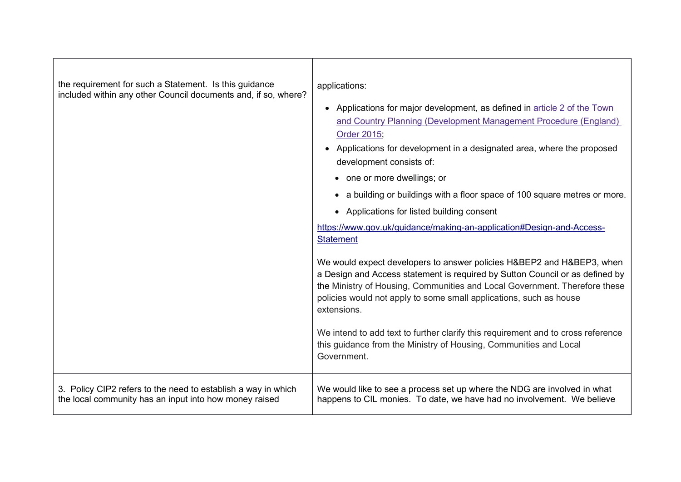| the requirement for such a Statement. Is this guidance<br>included within any other Council documents and, if so, where? | applications:<br>Applications for major development, as defined in article 2 of the Town<br>$\bullet$<br>and Country Planning (Development Management Procedure (England)<br>Order 2015;<br>Applications for development in a designated area, where the proposed<br>$\bullet$<br>development consists of:<br>• one or more dwellings; or<br>a building or buildings with a floor space of 100 square metres or more.<br>• Applications for listed building consent<br>https://www.gov.uk/guidance/making-an-application#Design-and-Access-<br><b>Statement</b><br>We would expect developers to answer policies H&BEP2 and H&BEP3, when<br>a Design and Access statement is required by Sutton Council or as defined by<br>the Ministry of Housing, Communities and Local Government. Therefore these<br>policies would not apply to some small applications, such as house<br>extensions.<br>We intend to add text to further clarify this requirement and to cross reference<br>this guidance from the Ministry of Housing, Communities and Local<br>Government. |
|--------------------------------------------------------------------------------------------------------------------------|---------------------------------------------------------------------------------------------------------------------------------------------------------------------------------------------------------------------------------------------------------------------------------------------------------------------------------------------------------------------------------------------------------------------------------------------------------------------------------------------------------------------------------------------------------------------------------------------------------------------------------------------------------------------------------------------------------------------------------------------------------------------------------------------------------------------------------------------------------------------------------------------------------------------------------------------------------------------------------------------------------------------------------------------------------------------|
| 3. Policy CIP2 refers to the need to establish a way in which                                                            | We would like to see a process set up where the NDG are involved in what                                                                                                                                                                                                                                                                                                                                                                                                                                                                                                                                                                                                                                                                                                                                                                                                                                                                                                                                                                                            |
| the local community has an input into how money raised                                                                   | happens to CIL monies. To date, we have had no involvement. We believe                                                                                                                                                                                                                                                                                                                                                                                                                                                                                                                                                                                                                                                                                                                                                                                                                                                                                                                                                                                              |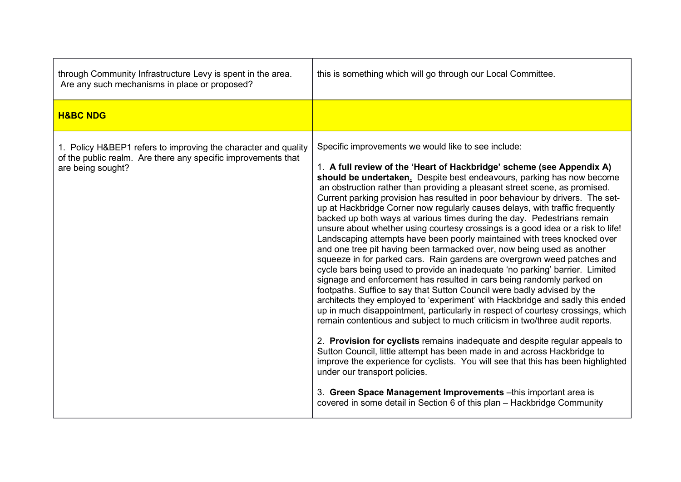| through Community Infrastructure Levy is spent in the area.<br>Are any such mechanisms in place or proposed?                                         | this is something which will go through our Local Committee.                                                                                                                                                                                                                                                                                                                                                                                                                                                                                                                                                                                                                                                                                                                                                                                                                                                                                                                                                                                                                                                                                                                                                                                                                                                                                                                                                                                                                                                                                                                                                                                                                                                                                                              |
|------------------------------------------------------------------------------------------------------------------------------------------------------|---------------------------------------------------------------------------------------------------------------------------------------------------------------------------------------------------------------------------------------------------------------------------------------------------------------------------------------------------------------------------------------------------------------------------------------------------------------------------------------------------------------------------------------------------------------------------------------------------------------------------------------------------------------------------------------------------------------------------------------------------------------------------------------------------------------------------------------------------------------------------------------------------------------------------------------------------------------------------------------------------------------------------------------------------------------------------------------------------------------------------------------------------------------------------------------------------------------------------------------------------------------------------------------------------------------------------------------------------------------------------------------------------------------------------------------------------------------------------------------------------------------------------------------------------------------------------------------------------------------------------------------------------------------------------------------------------------------------------------------------------------------------------|
| <b>H&amp;BC NDG</b>                                                                                                                                  |                                                                                                                                                                                                                                                                                                                                                                                                                                                                                                                                                                                                                                                                                                                                                                                                                                                                                                                                                                                                                                                                                                                                                                                                                                                                                                                                                                                                                                                                                                                                                                                                                                                                                                                                                                           |
| 1. Policy H&BEP1 refers to improving the character and quality<br>of the public realm. Are there any specific improvements that<br>are being sought? | Specific improvements we would like to see include:<br>1. A full review of the 'Heart of Hackbridge' scheme (see Appendix A)<br>should be undertaken. Despite best endeavours, parking has now become<br>an obstruction rather than providing a pleasant street scene, as promised.<br>Current parking provision has resulted in poor behaviour by drivers. The set-<br>up at Hackbridge Corner now regularly causes delays, with traffic frequently<br>backed up both ways at various times during the day. Pedestrians remain<br>unsure about whether using courtesy crossings is a good idea or a risk to life!<br>Landscaping attempts have been poorly maintained with trees knocked over<br>and one tree pit having been tarmacked over, now being used as another<br>squeeze in for parked cars. Rain gardens are overgrown weed patches and<br>cycle bars being used to provide an inadequate 'no parking' barrier. Limited<br>signage and enforcement has resulted in cars being randomly parked on<br>footpaths. Suffice to say that Sutton Council were badly advised by the<br>architects they employed to 'experiment' with Hackbridge and sadly this ended<br>up in much disappointment, particularly in respect of courtesy crossings, which<br>remain contentious and subject to much criticism in two/three audit reports.<br>2. Provision for cyclists remains inadequate and despite regular appeals to<br>Sutton Council, little attempt has been made in and across Hackbridge to<br>improve the experience for cyclists. You will see that this has been highlighted<br>under our transport policies.<br>3. Green Space Management Improvements - this important area is<br>covered in some detail in Section 6 of this plan - Hackbridge Community |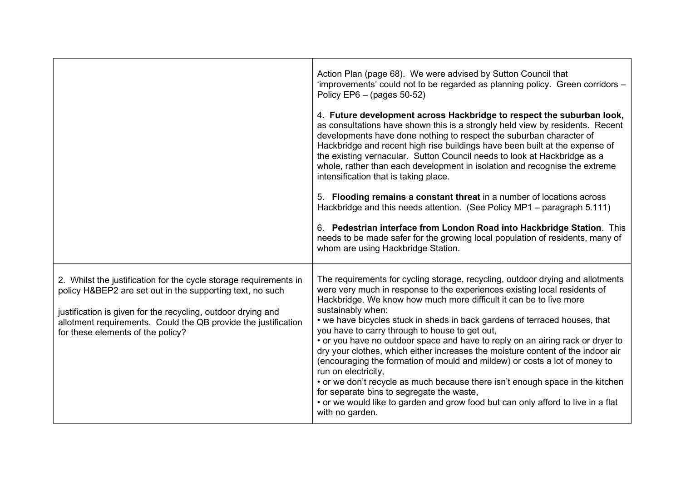|                                                                                                                                                                                                                                                                                                       | Action Plan (page 68). We were advised by Sutton Council that<br>'improvements' could not to be regarded as planning policy. Green corridors -<br>Policy EP6 $-$ (pages 50-52)<br>4. Future development across Hackbridge to respect the suburban look,<br>as consultations have shown this is a strongly held view by residents. Recent<br>developments have done nothing to respect the suburban character of<br>Hackbridge and recent high rise buildings have been built at the expense of<br>the existing vernacular. Sutton Council needs to look at Hackbridge as a<br>whole, rather than each development in isolation and recognise the extreme<br>intensification that is taking place.                                                                                                                                                                                                     |
|-------------------------------------------------------------------------------------------------------------------------------------------------------------------------------------------------------------------------------------------------------------------------------------------------------|-------------------------------------------------------------------------------------------------------------------------------------------------------------------------------------------------------------------------------------------------------------------------------------------------------------------------------------------------------------------------------------------------------------------------------------------------------------------------------------------------------------------------------------------------------------------------------------------------------------------------------------------------------------------------------------------------------------------------------------------------------------------------------------------------------------------------------------------------------------------------------------------------------|
|                                                                                                                                                                                                                                                                                                       | 5. Flooding remains a constant threat in a number of locations across<br>Hackbridge and this needs attention. (See Policy MP1 - paragraph 5.111)<br>6. Pedestrian interface from London Road into Hackbridge Station. This<br>needs to be made safer for the growing local population of residents, many of<br>whom are using Hackbridge Station.                                                                                                                                                                                                                                                                                                                                                                                                                                                                                                                                                     |
| 2. Whilst the justification for the cycle storage requirements in<br>policy H&BEP2 are set out in the supporting text, no such<br>justification is given for the recycling, outdoor drying and<br>allotment requirements. Could the QB provide the justification<br>for these elements of the policy? | The requirements for cycling storage, recycling, outdoor drying and allotments<br>were very much in response to the experiences existing local residents of<br>Hackbridge. We know how much more difficult it can be to live more<br>sustainably when:<br>• we have bicycles stuck in sheds in back gardens of terraced houses, that<br>you have to carry through to house to get out,<br>• or you have no outdoor space and have to reply on an airing rack or dryer to<br>dry your clothes, which either increases the moisture content of the indoor air<br>(encouraging the formation of mould and mildew) or costs a lot of money to<br>run on electricity,<br>• or we don't recycle as much because there isn't enough space in the kitchen<br>for separate bins to segregate the waste,<br>• or we would like to garden and grow food but can only afford to live in a flat<br>with no garden. |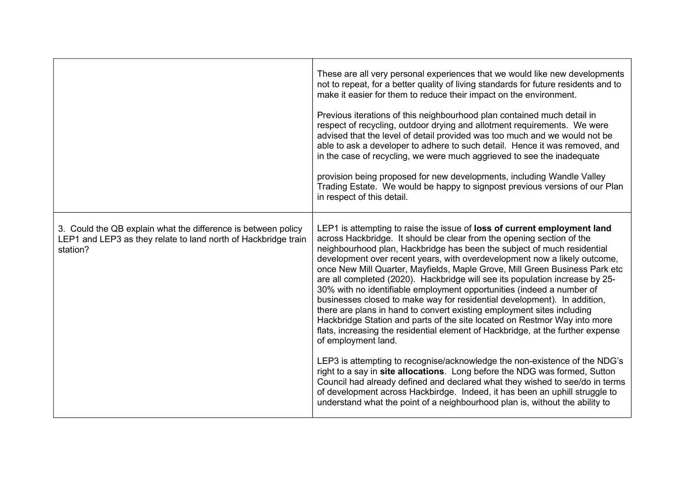|                                                                                                                                             | These are all very personal experiences that we would like new developments<br>not to repeat, for a better quality of living standards for future residents and to<br>make it easier for them to reduce their impact on the environment.<br>Previous iterations of this neighbourhood plan contained much detail in<br>respect of recycling, outdoor drying and allotment requirements. We were<br>advised that the level of detail provided was too much and we would not be<br>able to ask a developer to adhere to such detail. Hence it was removed, and<br>in the case of recycling, we were much aggrieved to see the inadequate<br>provision being proposed for new developments, including Wandle Valley<br>Trading Estate. We would be happy to signpost previous versions of our Plan<br>in respect of this detail.                                                                                                                                                                                                                                                                                                                                                                                                                                                                             |
|---------------------------------------------------------------------------------------------------------------------------------------------|-----------------------------------------------------------------------------------------------------------------------------------------------------------------------------------------------------------------------------------------------------------------------------------------------------------------------------------------------------------------------------------------------------------------------------------------------------------------------------------------------------------------------------------------------------------------------------------------------------------------------------------------------------------------------------------------------------------------------------------------------------------------------------------------------------------------------------------------------------------------------------------------------------------------------------------------------------------------------------------------------------------------------------------------------------------------------------------------------------------------------------------------------------------------------------------------------------------------------------------------------------------------------------------------------------------|
| 3. Could the QB explain what the difference is between policy<br>LEP1 and LEP3 as they relate to land north of Hackbridge train<br>station? | LEP1 is attempting to raise the issue of loss of current employment land<br>across Hackbridge. It should be clear from the opening section of the<br>neighbourhood plan, Hackbridge has been the subject of much residential<br>development over recent years, with overdevelopment now a likely outcome,<br>once New Mill Quarter, Mayfields, Maple Grove, Mill Green Business Park etc<br>are all completed (2020). Hackbridge will see its population increase by 25-<br>30% with no identifiable employment opportunities (indeed a number of<br>businesses closed to make way for residential development). In addition,<br>there are plans in hand to convert existing employment sites including<br>Hackbridge Station and parts of the site located on Restmor Way into more<br>flats, increasing the residential element of Hackbridge, at the further expense<br>of employment land.<br>LEP3 is attempting to recognise/acknowledge the non-existence of the NDG's<br>right to a say in site allocations. Long before the NDG was formed, Sutton<br>Council had already defined and declared what they wished to see/do in terms<br>of development across Hackbirdge. Indeed, it has been an uphill struggle to<br>understand what the point of a neighbourhood plan is, without the ability to |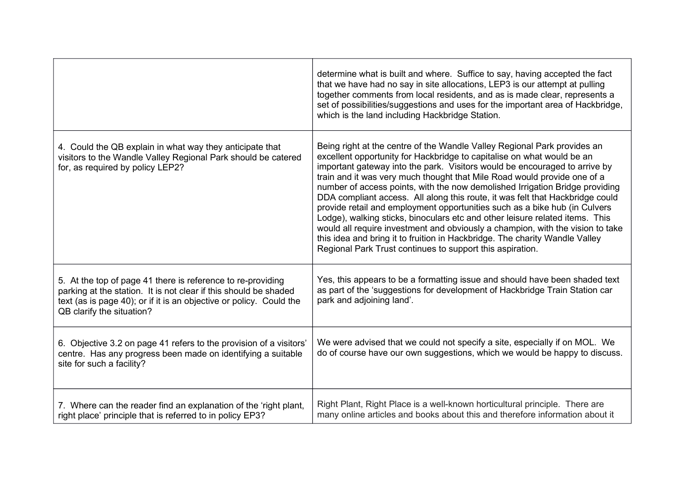|                                                                                                                                                                                                                                     | determine what is built and where. Suffice to say, having accepted the fact<br>that we have had no say in site allocations, LEP3 is our attempt at pulling<br>together comments from local residents, and as is made clear, represents a<br>set of possibilities/suggestions and uses for the important area of Hackbridge,<br>which is the land including Hackbridge Station.                                                                                                                                                                                                                                                                                                                                                                                                                                                                                            |
|-------------------------------------------------------------------------------------------------------------------------------------------------------------------------------------------------------------------------------------|---------------------------------------------------------------------------------------------------------------------------------------------------------------------------------------------------------------------------------------------------------------------------------------------------------------------------------------------------------------------------------------------------------------------------------------------------------------------------------------------------------------------------------------------------------------------------------------------------------------------------------------------------------------------------------------------------------------------------------------------------------------------------------------------------------------------------------------------------------------------------|
| 4. Could the QB explain in what way they anticipate that<br>visitors to the Wandle Valley Regional Park should be catered<br>for, as required by policy LEP2?                                                                       | Being right at the centre of the Wandle Valley Regional Park provides an<br>excellent opportunity for Hackbridge to capitalise on what would be an<br>important gateway into the park. Visitors would be encouraged to arrive by<br>train and it was very much thought that Mile Road would provide one of a<br>number of access points, with the now demolished Irrigation Bridge providing<br>DDA compliant access. All along this route, it was felt that Hackbridge could<br>provide retail and employment opportunities such as a bike hub (in Culvers<br>Lodge), walking sticks, binoculars etc and other leisure related items. This<br>would all require investment and obviously a champion, with the vision to take<br>this idea and bring it to fruition in Hackbridge. The charity Wandle Valley<br>Regional Park Trust continues to support this aspiration. |
| 5. At the top of page 41 there is reference to re-providing<br>parking at the station. It is not clear if this should be shaded<br>text (as is page 40); or if it is an objective or policy. Could the<br>QB clarify the situation? | Yes, this appears to be a formatting issue and should have been shaded text<br>as part of the 'suggestions for development of Hackbridge Train Station car<br>park and adjoining land'.                                                                                                                                                                                                                                                                                                                                                                                                                                                                                                                                                                                                                                                                                   |
| 6. Objective 3.2 on page 41 refers to the provision of a visitors'<br>centre. Has any progress been made on identifying a suitable<br>site for such a facility?                                                                     | We were advised that we could not specify a site, especially if on MOL. We<br>do of course have our own suggestions, which we would be happy to discuss.                                                                                                                                                                                                                                                                                                                                                                                                                                                                                                                                                                                                                                                                                                                  |
| 7. Where can the reader find an explanation of the 'right plant,<br>right place' principle that is referred to in policy EP3?                                                                                                       | Right Plant, Right Place is a well-known horticultural principle. There are<br>many online articles and books about this and therefore information about it                                                                                                                                                                                                                                                                                                                                                                                                                                                                                                                                                                                                                                                                                                               |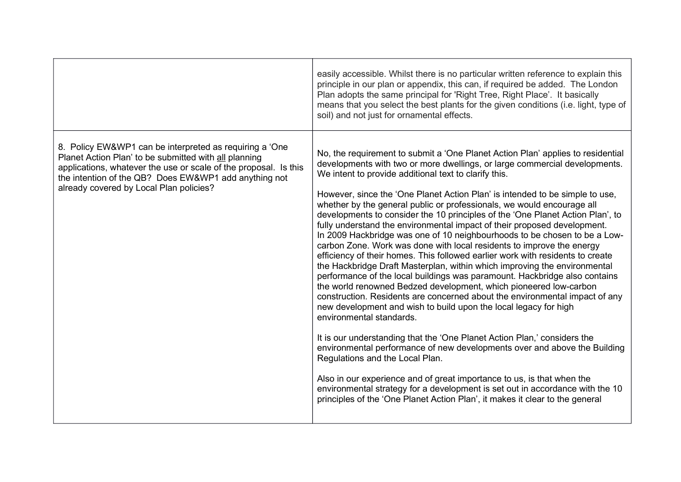|                                                                                                                                                                                                                                                                                          | easily accessible. Whilst there is no particular written reference to explain this<br>principle in our plan or appendix, this can, if required be added. The London<br>Plan adopts the same principal for 'Right Tree, Right Place'. It basically<br>means that you select the best plants for the given conditions (i.e. light, type of<br>soil) and not just for ornamental effects.                                                                                                                                                                                                                                                                                                                                                                                                                                                                                                                                                                                                                                                                                                                                                                                                                                                                                                                                                                                                                                                                                                                                                                                                                                                       |
|------------------------------------------------------------------------------------------------------------------------------------------------------------------------------------------------------------------------------------------------------------------------------------------|----------------------------------------------------------------------------------------------------------------------------------------------------------------------------------------------------------------------------------------------------------------------------------------------------------------------------------------------------------------------------------------------------------------------------------------------------------------------------------------------------------------------------------------------------------------------------------------------------------------------------------------------------------------------------------------------------------------------------------------------------------------------------------------------------------------------------------------------------------------------------------------------------------------------------------------------------------------------------------------------------------------------------------------------------------------------------------------------------------------------------------------------------------------------------------------------------------------------------------------------------------------------------------------------------------------------------------------------------------------------------------------------------------------------------------------------------------------------------------------------------------------------------------------------------------------------------------------------------------------------------------------------|
| 8. Policy EW&WP1 can be interpreted as requiring a 'One<br>Planet Action Plan' to be submitted with all planning<br>applications, whatever the use or scale of the proposal. Is this<br>the intention of the QB? Does EW&WP1 add anything not<br>already covered by Local Plan policies? | No, the requirement to submit a 'One Planet Action Plan' applies to residential<br>developments with two or more dwellings, or large commercial developments.<br>We intent to provide additional text to clarify this.<br>However, since the 'One Planet Action Plan' is intended to be simple to use,<br>whether by the general public or professionals, we would encourage all<br>developments to consider the 10 principles of the 'One Planet Action Plan', to<br>fully understand the environmental impact of their proposed development.<br>In 2009 Hackbridge was one of 10 neighbourhoods to be chosen to be a Low-<br>carbon Zone. Work was done with local residents to improve the energy<br>efficiency of their homes. This followed earlier work with residents to create<br>the Hackbridge Draft Masterplan, within which improving the environmental<br>performance of the local buildings was paramount. Hackbridge also contains<br>the world renowned Bedzed development, which pioneered low-carbon<br>construction. Residents are concerned about the environmental impact of any<br>new development and wish to build upon the local legacy for high<br>environmental standards.<br>It is our understanding that the 'One Planet Action Plan,' considers the<br>environmental performance of new developments over and above the Building<br>Regulations and the Local Plan.<br>Also in our experience and of great importance to us, is that when the<br>environmental strategy for a development is set out in accordance with the 10<br>principles of the 'One Planet Action Plan', it makes it clear to the general |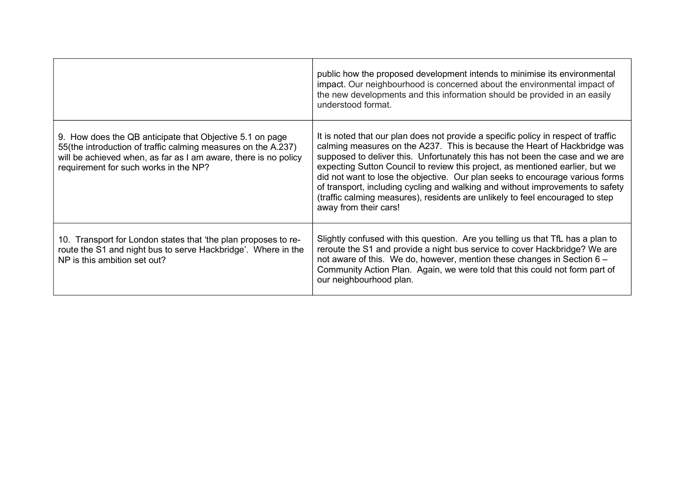|                                                                                                                                                                                                                                       | public how the proposed development intends to minimise its environmental<br>impact. Our neighbourhood is concerned about the environmental impact of<br>the new developments and this information should be provided in an easily<br>understood format.                                                                                                                                                                                                                                                                                                                                                       |
|---------------------------------------------------------------------------------------------------------------------------------------------------------------------------------------------------------------------------------------|----------------------------------------------------------------------------------------------------------------------------------------------------------------------------------------------------------------------------------------------------------------------------------------------------------------------------------------------------------------------------------------------------------------------------------------------------------------------------------------------------------------------------------------------------------------------------------------------------------------|
| 9. How does the QB anticipate that Objective 5.1 on page<br>55(the introduction of traffic calming measures on the A.237)<br>will be achieved when, as far as I am aware, there is no policy<br>requirement for such works in the NP? | It is noted that our plan does not provide a specific policy in respect of traffic<br>calming measures on the A237. This is because the Heart of Hackbridge was<br>supposed to deliver this. Unfortunately this has not been the case and we are<br>expecting Sutton Council to review this project, as mentioned earlier, but we<br>did not want to lose the objective. Our plan seeks to encourage various forms<br>of transport, including cycling and walking and without improvements to safety<br>(traffic calming measures), residents are unlikely to feel encouraged to step<br>away from their cars! |
| 10. Transport for London states that 'the plan proposes to re-<br>route the S1 and night bus to serve Hackbridge'. Where in the<br>NP is this ambition set out?                                                                       | Slightly confused with this question. Are you telling us that TfL has a plan to<br>reroute the S1 and provide a night bus service to cover Hackbridge? We are<br>not aware of this. We do, however, mention these changes in Section 6 -<br>Community Action Plan. Again, we were told that this could not form part of<br>our neighbourhood plan.                                                                                                                                                                                                                                                             |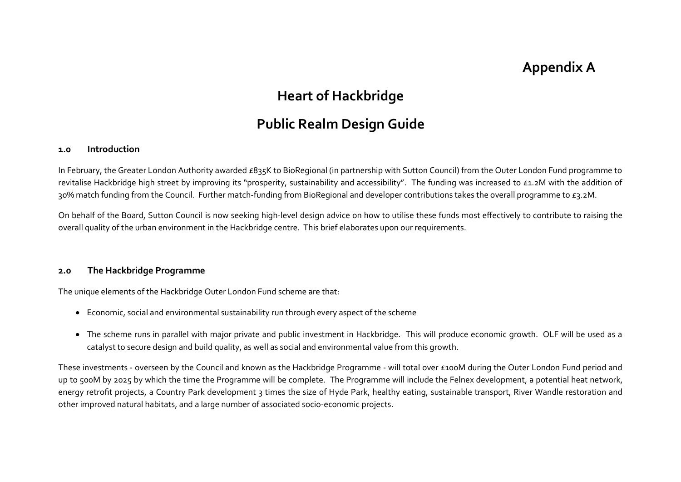# **Appendix A**

## **Heart of Hackbridge**

## **Public Realm Design Guide**

#### **1.0 Introduction**

In February, the Greater London Authority awarded £835K to BioRegional (in partnership with Sutton Council) from the Outer London Fund programme to revitalise Hackbridge high street by improving its "prosperity, sustainability and accessibility". The funding was increased to £1.2M with the addition of 30% match funding from the Council. Further match-funding from BioRegional and developer contributions takes the overall programme to £3.2M.

On behalf of the Board, Sutton Council is now seeking high-level design advice on how to utilise these funds most effectively to contribute to raising the overall quality of the urban environment in the Hackbridge centre. This brief elaborates upon our requirements.

#### **2.0 The Hackbridge Programme**

The unique elements of the Hackbridge Outer London Fund scheme are that:

- Economic, social and environmental sustainability run through every aspect of the scheme
- The scheme runs in parallel with major private and public investment in Hackbridge. This will produce economic growth. OLF will be used as a catalyst to secure design and build quality, as well as social and environmental value from this growth.

These investments - overseen by the Council and known as the Hackbridge Programme - will total over £100M during the Outer London Fund period and up to 500M by 2025 by which the time the Programme will be complete. The Programme will include the Felnex development, a potential heat network, energy retrofit projects, a Country Park development 3 times the size of Hyde Park, healthy eating, sustainable transport, River Wandle restoration and other improved natural habitats, and a large number of associated socio-economic projects.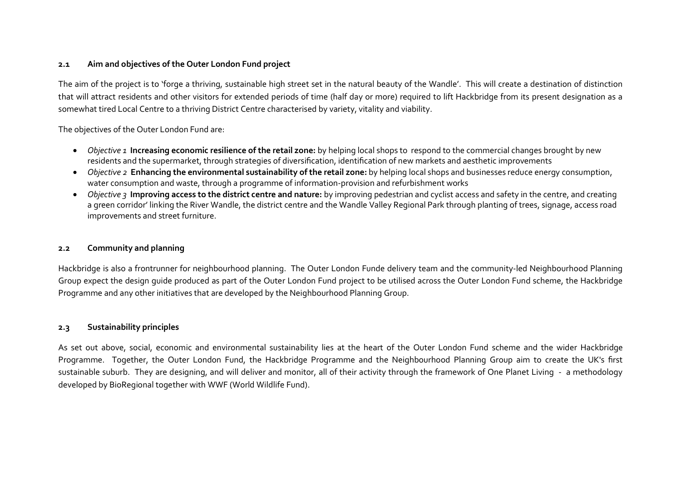#### **2.1 Aim and objectives of the Outer London Fund project**

The aim of the project is to 'forge a thriving, sustainable high street set in the natural beauty of the Wandle'. This will create a destination of distinction that will attract residents and other visitors for extended periods of time (half day or more) required to lift Hackbridge from its present designation as a somewhat tired Local Centre to a thriving District Centre characterised by variety, vitality and viability.

The objectives of the Outer London Fund are:

- x *Objective 1* **Increasing economic resilience of the retail zone:** by helping local shops to respond to the commercial changes brought by new residents and the supermarket, through strategies of diversification, identification of new markets and aesthetic improvements
- x *Objective 2* **Enhancing the environmental sustainability of the retail zone:** by helping local shops and businesses reduce energy consumption, water consumption and waste, through a programme of information-provision and refurbishment works
- x *Objective 3* **Improving access to the district centre and nature:** by improving pedestrian and cyclist access and safety in the centre, and creating a green corridor' linking the River Wandle, the district centre and the Wandle Valley Regional Park through planting of trees, signage, access road improvements and street furniture.

#### **2.2 Community and planning**

Hackbridge is also a frontrunner for neighbourhood planning. The Outer London Funde delivery team and the community-led Neighbourhood Planning Group expect the design guide produced as part of the Outer London Fund project to be utilised across the Outer London Fund scheme, the Hackbridge Programme and any other initiatives that are developed by the Neighbourhood Planning Group.

#### **2.3 Sustainability principles**

As set out above, social, economic and environmental sustainability lies at the heart of the Outer London Fund scheme and the wider Hackbridge Programme. Together, the Outer London Fund, the Hackbridge Programme and the Neighbourhood Planning Group aim to create the UK's first sustainable suburb. They are designing, and will deliver and monitor, all of their activity through the framework of One Planet Living - a methodology developed by BioRegional together with WWF (World Wildlife Fund).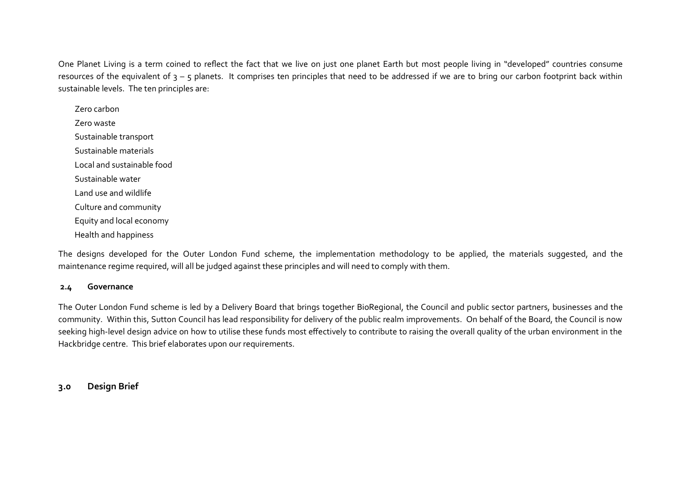One Planet Living is a term coined to reflect the fact that we live on just one planet Earth but most people living in "developed" countries consume resources of the equivalent of  $3 - 5$  planets. It comprises ten principles that need to be addressed if we are to bring our carbon footprint back within sustainable levels. The ten principles are:

Zero carbon Zero waste Sustainable transport Sustainable materials Local and sustainable food Sustainable water Land use and wildlife Culture and community Equity and local economy Health and happiness

The designs developed for the Outer London Fund scheme, the implementation methodology to be applied, the materials suggested, and the maintenance regime required, will all be judged against these principles and will need to comply with them.

#### **2.4 Governance**

The Outer London Fund scheme is led by a Delivery Board that brings together BioRegional, the Council and public sector partners, businesses and the community. Within this, Sutton Council has lead responsibility for delivery of the public realm improvements. On behalf of the Board, the Council is now seeking high-level design advice on how to utilise these funds most effectively to contribute to raising the overall quality of the urban environment in the Hackbridge centre. This brief elaborates upon our requirements.

## **3.0 Design Brief**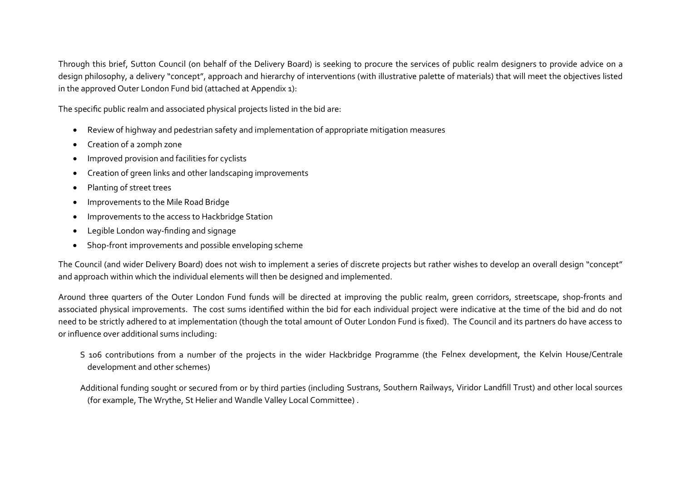Through this brief, Sutton Council (on behalf of the Delivery Board) is seeking to procure the services of public realm designers to provide advice on a design philosophy, a delivery "concept", approach and hierarchy of interventions (with illustrative palette of materials) that will meet the objectives listed in the approved Outer London Fund bid (attached at Appendix 1):

The specific public realm and associated physical projects listed in the bid are:

- x Review of highway and pedestrian safety and implementation of appropriate mitigation measures
- Creation of a 20mph zone
- Improved provision and facilities for cyclists
- Creation of green links and other landscaping improvements
- Planting of street trees
- Improvements to the Mile Road Bridge
- Improvements to the access to Hackbridge Station
- Legible London way-finding and signage
- Shop-front improvements and possible enveloping scheme

The Council (and wider Delivery Board) does not wish to implement a series of discrete projects but rather wishes to develop an overall design "concept" and approach within which the individual elements will then be designed and implemented.

Around three quarters of the Outer London Fund funds will be directed at improving the public realm, green corridors, streetscape, shop-fronts and associated physical improvements. The cost sums identified within the bid for each individual project were indicative at the time of the bid and do not need to be strictly adhered to at implementation (though the total amount of Outer London Fund is fixed). The Council and its partners do have access to or influence over additional sums including:

- S 106 contributions from a number of the projects in the wider Hackbridge Programme (the Felnex development, the Kelvin House/Centrale development and other schemes)
- Additional funding sought or secured from or by third parties (including Sustrans, Southern Railways, Viridor Landfill Trust) and other local sources (for example, The Wrythe, St Helier and Wandle Valley Local Committee) .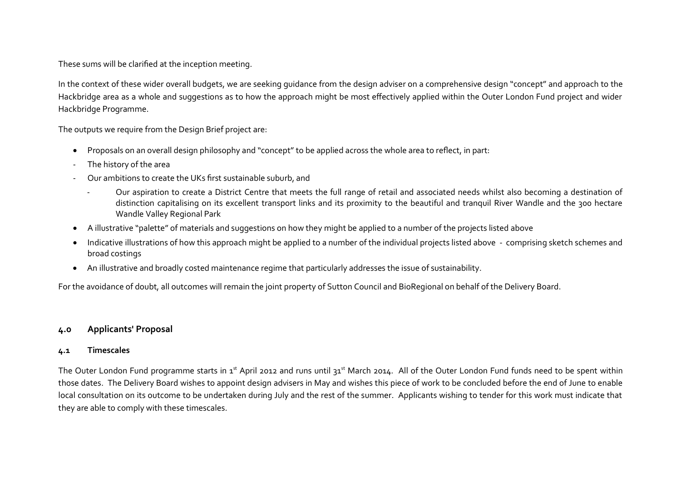These sums will be clarified at the inception meeting.

In the context of these wider overall budgets, we are seeking guidance from the design adviser on a comprehensive design "concept" and approach to the Hackbridge area as a whole and suggestions as to how the approach might be most effectively applied within the Outer London Fund project and wider Hackbridge Programme.

The outputs we require from the Design Brief project are:

- Proposals on an overall design philosophy and "concept" to be applied across the whole area to reflect, in part:
- The history of the area
- Our ambitions to create the UKs first sustainable suburb, and
	- Our aspiration to create a District Centre that meets the full range of retail and associated needs whilst also becoming a destination of distinction capitalising on its excellent transport links and its proximity to the beautiful and tranquil River Wandle and the 300 hectare Wandle Valley Regional Park
- A illustrative "palette" of materials and suggestions on how they might be applied to a number of the projects listed above
- Indicative illustrations of how this approach might be applied to a number of the individual projects listed above comprising sketch schemes and broad costings
- An illustrative and broadly costed maintenance regime that particularly addresses the issue of sustainability.

For the avoidance of doubt, all outcomes will remain the joint property of Sutton Council and BioRegional on behalf of the Delivery Board.

### **4.0 Applicants' Proposal**

#### **4.1 Timescales**

The Outer London Fund programme starts in 1<sup>st</sup> April 2012 and runs until 31<sup>st</sup> March 2014. All of the Outer London Fund funds need to be spent within those dates. The Delivery Board wishes to appoint design advisers in May and wishes this piece of work to be concluded before the end of June to enable local consultation on its outcome to be undertaken during July and the rest of the summer. Applicants wishing to tender for this work must indicate that they are able to comply with these timescales.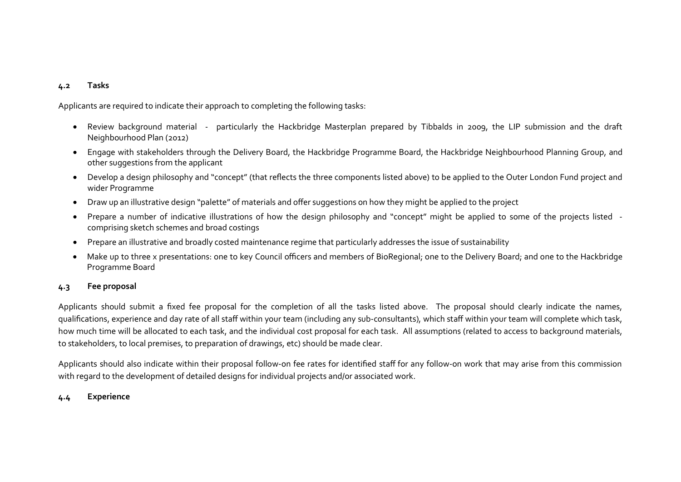#### **4.2 Tasks**

Applicants are required to indicate their approach to completing the following tasks:

- Review background material particularly the Hackbridge Masterplan prepared by Tibbalds in 2009, the LIP submission and the draft Neighbourhood Plan (2012)
- Engage with stakeholders through the Delivery Board, the Hackbridge Programme Board, the Hackbridge Neighbourhood Planning Group, and other suggestions from the applicant
- Develop a design philosophy and "concept" (that reflects the three components listed above) to be applied to the Outer London Fund project and wider Programme
- Draw up an illustrative design "palette" of materials and offer suggestions on how they might be applied to the project
- Prepare a number of indicative illustrations of how the design philosophy and "concept" might be applied to some of the projects listed comprising sketch schemes and broad costings
- Prepare an illustrative and broadly costed maintenance regime that particularly addresses the issue of sustainability
- Make up to three x presentations: one to key Council officers and members of BioRegional; one to the Delivery Board; and one to the Hackbridge Programme Board

#### **4.3 Fee proposal**

Applicants should submit a fixed fee proposal for the completion of all the tasks listed above. The proposal should clearly indicate the names, qualifications, experience and day rate of all staff within your team (including any sub-consultants), which staff within your team will complete which task, how much time will be allocated to each task, and the individual cost proposal for each task. All assumptions (related to access to background materials, to stakeholders, to local premises, to preparation of drawings, etc) should be made clear.

Applicants should also indicate within their proposal follow-on fee rates for identified staff for any follow-on work that may arise from this commission with regard to the development of detailed designs for individual projects and/or associated work.

#### **4.4 Experience**